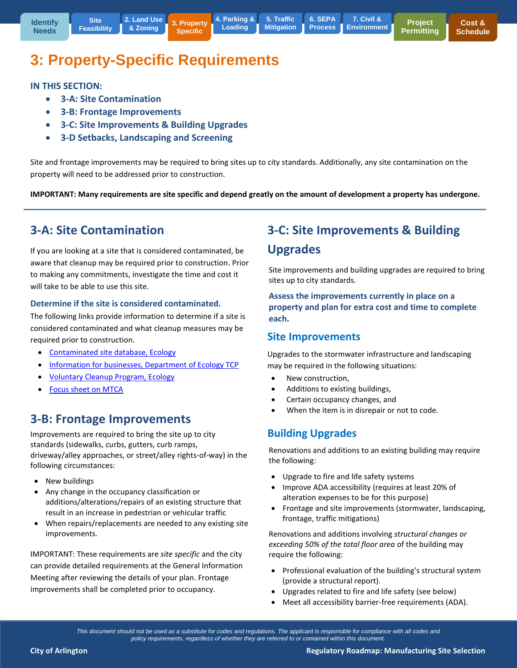**[6. SEPA](http://www.arlingtonwa.gov/roadmap-sepa)  Process**

# **3: Property-Specific Requirements**

**3. Property Specific**

**IN THIS SECTION:** 

**3-A: Site Contamination** 

**Site [Feasibility](http://www.arlingtonwa.gov/roadmap-locationsearch)**

- **3-B: Frontage Improvements**
- **3-C: Site Improvements & Building Upgrades**
- **3-D Setbacks, Landscaping and Screening**

Site and frontage improvements may be required to bring sites up to city standards. Additionally, any site contamination on the property will need to be addressed prior to construction.

**IMPORTANT: Many requirements are site specific and depend greatly on the amount of development a property has undergone.** 

## **3-A: Site Contamination**

If you are looking at a site that is considered contaminated, be aware that cleanup may be required prior to construction. Prior to making any commitments, investigate the time and cost it will take to be able to use this site.

#### **Determine if the site is considered contaminated.**

The following links provide information to determine if a site is considered contaminated and what cleanup measures may be required prior to construction.

- [Contaminated site database, Ecology](https://fortress.wa.gov/ecy/gsp/SiteSearchPage.aspx)
- [Information for businesses, Department of Ecology TCP](http://www.ecy.wa.gov/programs/tcp/HelpBusiness/business.html)
- [Voluntary Cleanup Program, Ecology](http://www.ecy.wa.gov/programs/tcp/vcp/Vcpmain.htm)
- [Focus sheet on MTCA](https://fortress.wa.gov/ecy/publications/publications/ftc94129.pdf)

## **3-B: Frontage Improvements**

Improvements are required to bring the site up to city standards (sidewalks, curbs, gutters, curb ramps, driveway/alley approaches, or street/alley rights-of-way) in the following circumstances:

- New buildings
- Any change in the occupancy classification or additions/alterations/repairs of an existing structure that result in an increase in pedestrian or vehicular traffic
- When repairs/replacements are needed to any existing site improvements.

IMPORTANT: These requirements are *site specific* and the city can provide detailed requirements at the General Information Meeting after reviewing the details of your plan. Frontage improvements shall be completed prior to occupancy.

## **3-C: Site Improvements & Building Upgrades**

Site improvements and building upgrades are required to bring sites up to city standards.

**Assess the improvements currently in place on a property and plan for extra cost and time to complete each.**

#### **Site Improvements**

Upgrades to the stormwater infrastructure and landscaping may be required in the following situations:

- New construction.
- Additions to existing buildings,
- Certain occupancy changes, and
- When the item is in disrepair or not to code.

### **Building Upgrades**

Renovations and additions to an existing building may require the following:

- Upgrade to fire and life safety systems
- Improve ADA accessibility (requires at least 20% of alteration expenses to be for this purpose)
- Frontage and site improvements (stormwater, landscaping, frontage, traffic mitigations)

Renovations and additions involving *structural changes or exceeding 50% of the total floor area* of the building may require the following:

- Professional evaluation of the building's structural system (provide a structural report).
- Upgrades related to fire and life safety (see below)
- Meet all accessibility barrier-free requirements (ADA).

*This document should not be used as a substitute for codes and regulations. The applicant is responsible for compliance with all codes and policy requirements, regardless of whether they are referred to or contained within this document.*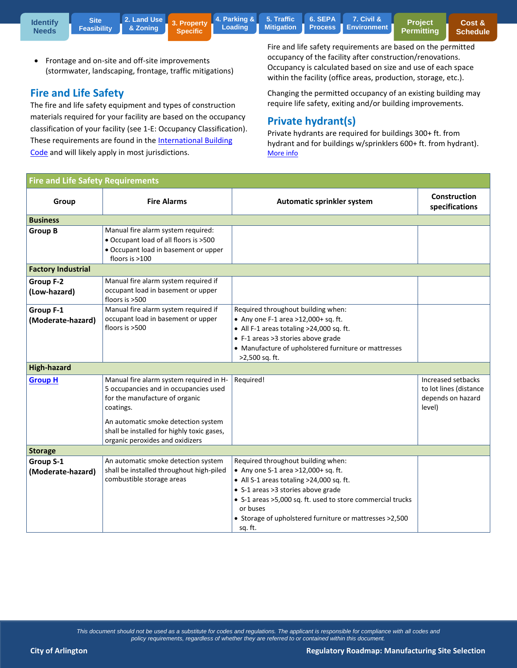**3. Property Specific [4. Parking &](http://www.arlingtonwa.gov/roadmap-parking)  Loading**

**5. Traffic [Mitigation](http://www.arlingtonwa.gov/roadmap-traffic) [6. SEPA](http://www.arlingtonwa.gov/roadmap-sepa)** 

**Process 7. Civil & [Environment](http://www.arlingtonwa.gov/roadmap-civil)**

**Project [Permitting](http://www.arlingtonwa.gov/roadmap-projectpermitting)** 

• Frontage and on-site and off-site improvements (stormwater, landscaping, frontage, traffic mitigations)

### **Fire and Life Safety**

The fire and life safety equipment and types of construction materials required for your facility are based on the occupancy classification of your facility (see 1-E: Occupancy Classification). These requirements are found in the [International Building](http://publicecodes.cyberregs.com/icod/ibc/2012/icod_ibc_2012_3_sec004.htm)  [Code](http://publicecodes.cyberregs.com/icod/ibc/2012/icod_ibc_2012_3_sec004.htm) and will likely apply in most jurisdictions.

Fire and life safety requirements are based on the permitted occupancy of the facility after construction/renovations. Occupancy is calculated based on size and use of each space within the facility (office areas, production, storage, etc.).

Changing the permitted occupancy of an existing building may require life safety, exiting and/or building improvements.

### **Private hydrant(s)**

Private hydrants are required for buildings 300+ ft. from hydrant and for buildings w/sprinklers 600+ ft. from hydrant). [More info](https://www.municode.com/library/wa/arlington/codes/code_of_ordinances?nodeId=TIT15FIRE_CH15.10INFICO_15.10.070AM&showChanges=true)

| <b>Fire and Life Safety Requirements</b> |                                                          |                                                                                            |                                       |  |  |
|------------------------------------------|----------------------------------------------------------|--------------------------------------------------------------------------------------------|---------------------------------------|--|--|
| Group                                    | <b>Fire Alarms</b>                                       | Automatic sprinkler system                                                                 | <b>Construction</b><br>specifications |  |  |
| <b>Business</b>                          |                                                          |                                                                                            |                                       |  |  |
| <b>Group B</b>                           | Manual fire alarm system required:                       |                                                                                            |                                       |  |  |
|                                          | • Occupant load of all floors is >500                    |                                                                                            |                                       |  |  |
|                                          | • Occupant load in basement or upper<br>floors is $>100$ |                                                                                            |                                       |  |  |
| <b>Factory Industrial</b>                |                                                          |                                                                                            |                                       |  |  |
| Group F-2                                | Manual fire alarm system required if                     |                                                                                            |                                       |  |  |
| (Low-hazard)                             | occupant load in basement or upper                       |                                                                                            |                                       |  |  |
|                                          | floors is >500                                           |                                                                                            |                                       |  |  |
| Group F-1                                | Manual fire alarm system required if                     | Required throughout building when:                                                         |                                       |  |  |
| (Moderate-hazard)                        | occupant load in basement or upper<br>floors is >500     | • Any one F-1 area >12,000+ sq. ft.                                                        |                                       |  |  |
|                                          |                                                          | • All F-1 areas totaling >24,000 sq. ft.                                                   |                                       |  |  |
|                                          |                                                          | • F-1 areas >3 stories above grade<br>• Manufacture of upholstered furniture or mattresses |                                       |  |  |
|                                          |                                                          | >2,500 sq. ft.                                                                             |                                       |  |  |
| <b>High-hazard</b>                       |                                                          |                                                                                            |                                       |  |  |
| <b>Group H</b>                           | Manual fire alarm system required in H-                  | Required!                                                                                  | Increased setbacks                    |  |  |
|                                          | 5 occupancies and in occupancies used                    |                                                                                            | to lot lines (distance                |  |  |
|                                          | for the manufacture of organic                           |                                                                                            | depends on hazard                     |  |  |
|                                          | coatings.                                                |                                                                                            | level)                                |  |  |
|                                          | An automatic smoke detection system                      |                                                                                            |                                       |  |  |
|                                          | shall be installed for highly toxic gases,               |                                                                                            |                                       |  |  |
|                                          | organic peroxides and oxidizers                          |                                                                                            |                                       |  |  |
| <b>Storage</b>                           |                                                          |                                                                                            |                                       |  |  |
| Group S-1                                | An automatic smoke detection system                      | Required throughout building when:                                                         |                                       |  |  |
| (Moderate-hazard)                        | shall be installed throughout high-piled                 | • Any one S-1 area >12,000+ sq. ft.                                                        |                                       |  |  |
|                                          | combustible storage areas                                | • All S-1 areas totaling >24,000 sq. ft.                                                   |                                       |  |  |
|                                          |                                                          | • S-1 areas >3 stories above grade                                                         |                                       |  |  |
|                                          |                                                          | • S-1 areas > 5,000 sq. ft. used to store commercial trucks<br>or buses                    |                                       |  |  |
|                                          |                                                          | • Storage of upholstered furniture or mattresses >2,500                                    |                                       |  |  |
|                                          |                                                          | sq. ft.                                                                                    |                                       |  |  |